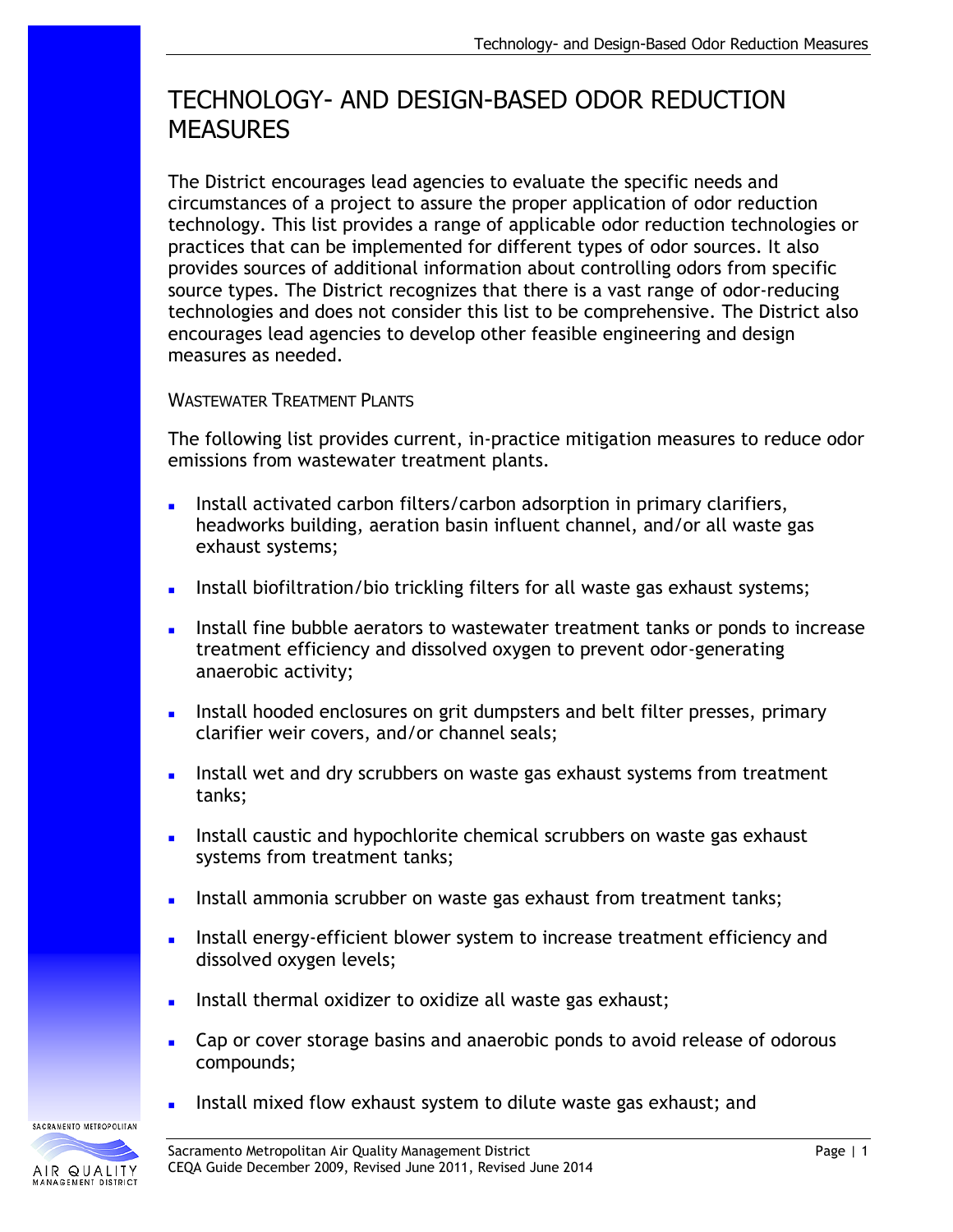# TECHNOLOGY- AND DESIGN-BASED ODOR REDUCTION **MEASURES**

The District encourages lead agencies to evaluate the specific needs and circumstances of a project to assure the proper application of odor reduction technology. This list provides a range of applicable odor reduction technologies or practices that can be implemented for different types of odor sources. It also provides sources of additional information about controlling odors from specific source types. The District recognizes that there is a vast range of odor-reducing technologies and does not consider this list to be comprehensive. The District also encourages lead agencies to develop other feasible engineering and design measures as needed.

# WASTEWATER TREATMENT PLANTS

The following list provides current, in-practice mitigation measures to reduce odor emissions from wastewater treatment plants.

- Install activated carbon filters/carbon adsorption in primary clarifiers, headworks building, aeration basin influent channel, and/or all waste gas exhaust systems;
- Install biofiltration/bio trickling filters for all waste gas exhaust systems;
- Install fine bubble aerators to wastewater treatment tanks or ponds to increase treatment efficiency and dissolved oxygen to prevent odor-generating anaerobic activity;
- Install hooded enclosures on grit dumpsters and belt filter presses, primary clarifier weir covers, and/or channel seals;
- Install wet and dry scrubbers on waste gas exhaust systems from treatment tanks;
- Install caustic and hypochlorite chemical scrubbers on waste gas exhaust systems from treatment tanks;
- Install ammonia scrubber on waste gas exhaust from treatment tanks;
- Install energy-efficient blower system to increase treatment efficiency and dissolved oxygen levels;
- Install thermal oxidizer to oxidize all waste gas exhaust;
- Cap or cover storage basins and anaerobic ponds to avoid release of odorous compounds;
- Install mixed flow exhaust system to dilute waste gas exhaust; and

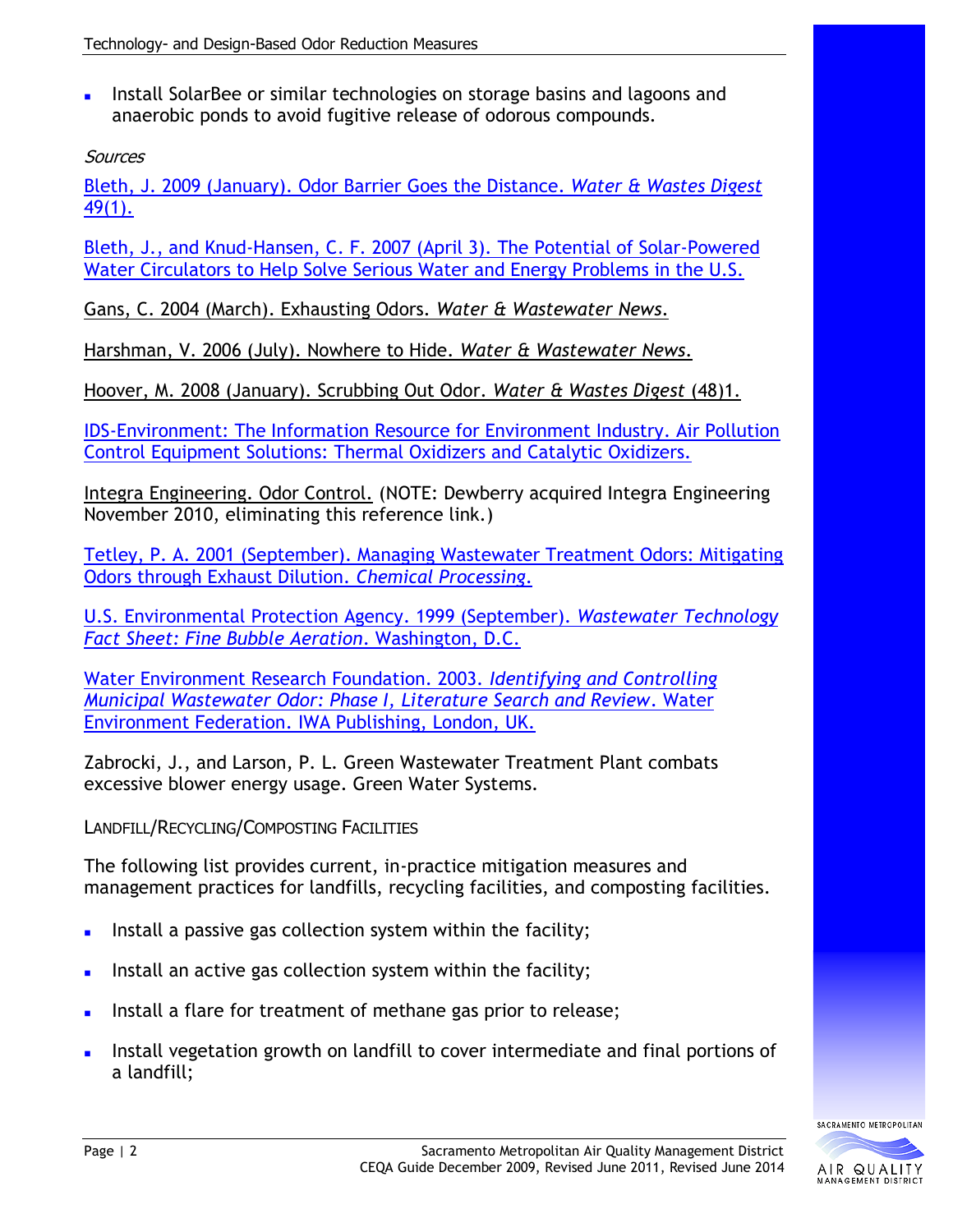Install [SolarBee](http://www.solarbee.com/) or similar technologies on storage basins and lagoons and anaerobic ponds to avoid fugitive release of odorous compounds.

**Sources** 

Bleth, J. 2009 [\(January\). Odor Barrier Goes the Distance.](http://www.wwdmag.com/Odor-Barrier-Goes-the-Distance-article9995) *Water & Wastes Digest* [49\(1\).](http://www.wwdmag.com/Odor-Barrier-Goes-the-Distance-article9995)

Bleth, J., and Knud-Hansen, C. [F. 2007 \(April 3\). The Potential of Solar-Powered](http://www.environmental-expert.com/resultEachArticle.aspx?cid=7817&codi=12702&level=7&idproducttype=6%3e)  [Water Circulators to Help Solve Serious Water and Energy Problems in the U.S.](http://www.environmental-expert.com/resultEachArticle.aspx?cid=7817&codi=12702&level=7&idproducttype=6%3e)

Gans, C. 2004 (March). Exhausting Odors. *Water & Wastewater News*.

Harshman, V. 2006 (July). Nowhere to Hide. *Water & Wastewater News*.

Hoover, M. 2008 (January). Scrubbing Out Odor. *Water & Wastes Digest* (48)1.

[IDS-Environment: The Information Resource for Environment Industry. Air Pollution](http://www.ids-environment.com/environment/us/kono_kogs/air_pollution_control_equipment/568_0/b_supplier.html)  [Control Equipment Solutions: Thermal Oxidizers and Catalytic Oxidizers.](http://www.ids-environment.com/environment/us/kono_kogs/air_pollution_control_equipment/568_0/b_supplier.html)

Integra Engineering. Odor Control. (NOTE: Dewberry acquired Integra Engineering November 2010, eliminating this reference link.)

[Tetley, P. A. 2001 \(September\). Managing Wastewater Treatment Odors: Mitigating](http://www.strobicair.com/pdf/ChemProc9_01.pdf)  [Odors through Exhaust Dilution.](http://www.strobicair.com/pdf/ChemProc9_01.pdf) *Chemical Processing*.

U.S. [Environmental Protection Agency. 1999 \(September\).](http://h2o.ehnr.state.nc.us/tacu/documents/finebubbleaer.pdf) *Wastewater Technology [Fact Sheet: Fine Bubble Aeration](http://h2o.ehnr.state.nc.us/tacu/documents/finebubbleaer.pdf)*. Washington, D.C.

[Water Environment Research Foundation. 2003.](http://books.google.com/books?id=R_zqTT1KujgC&dq=achieved+in+practice+odor+mitigation&source=gbs_summary_s&cad=0) *Identifying and Controlling [Municipal Wastewater Odor: Phase I, Literature Search and Review](http://books.google.com/books?id=R_zqTT1KujgC&dq=achieved+in+practice+odor+mitigation&source=gbs_summary_s&cad=0)*. Water [Environment Federation. IWA Publishing, London, UK.](http://books.google.com/books?id=R_zqTT1KujgC&dq=achieved+in+practice+odor+mitigation&source=gbs_summary_s&cad=0)

Zabrocki, J., and Larson, P. L. Green Wastewater Treatment Plant combats excessive blower energy usage. Green Water Systems.

LANDFILL/RECYCLING/COMPOSTING FACILITIES

The following list provides current, in-practice mitigation measures and management practices for landfills, recycling facilities, and composting facilities.

- Install a passive gas collection system within the facility;
- Install an active gas collection system within the facility;
- Install a flare for treatment of methane gas prior to release;
- Install vegetation growth on landfill to cover intermediate and final portions of a landfill;

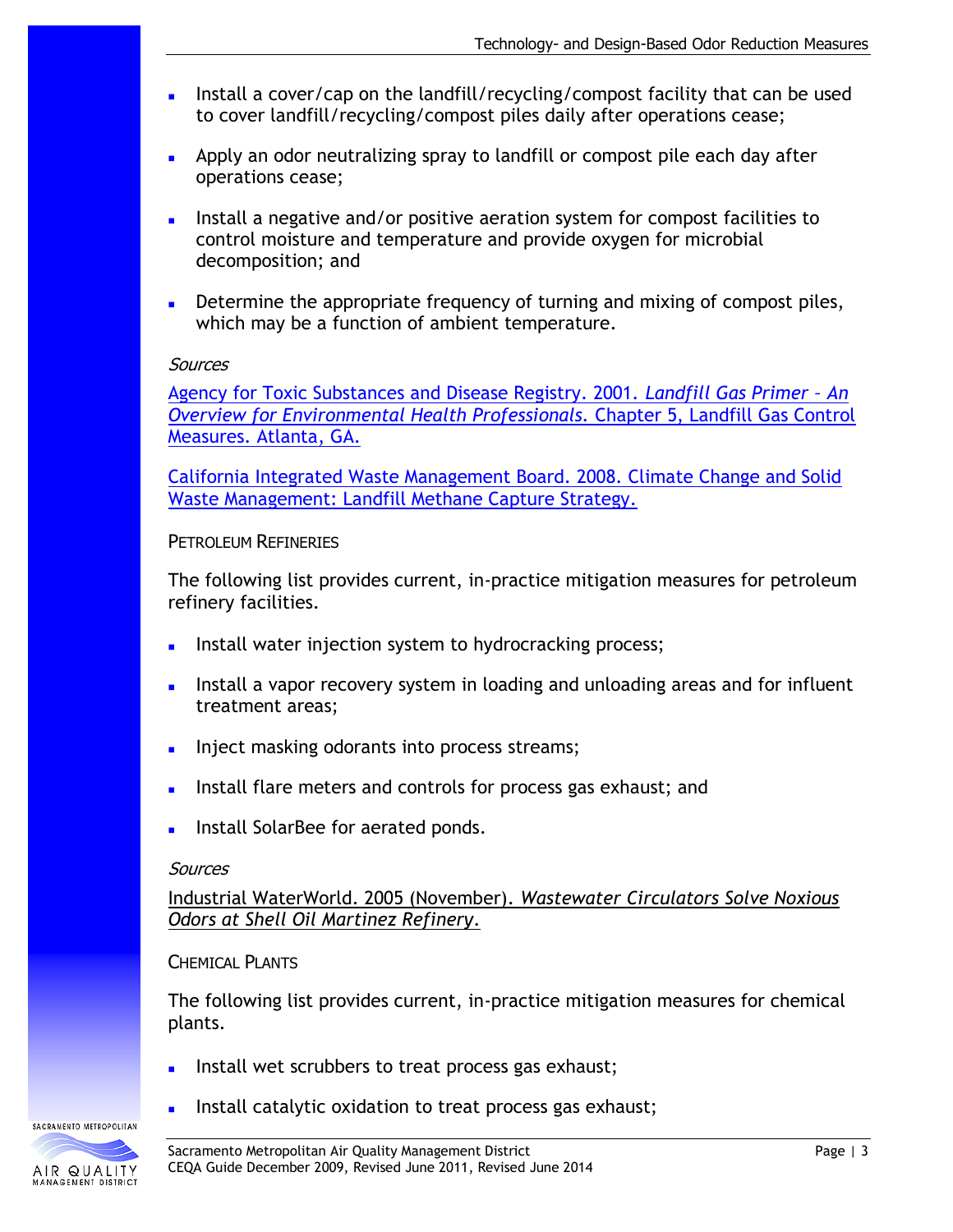- Install a cover/cap on the landfill/recycling/compost facility that can be used to cover landfill/recycling/compost piles daily after operations cease;
- Apply an odor neutralizing spray to landfill or compost pile each day after operations cease;
- Install a negative and/or positive aeration system for compost facilities to control moisture and temperature and provide oxygen for microbial decomposition; and
- Determine the appropriate frequency of turning and mixing of compost piles, which may be a function of ambient temperature.

[Agency for Toxic Substances and Disease Registry. 2001.](http://www.atsdr.cdc.gov/HAC/landfill/PDFs/Landfill_2001_ch5.pdf) *Landfill Gas Primer – An [Overview for Environmental Health Professionals.](http://www.atsdr.cdc.gov/HAC/landfill/PDFs/Landfill_2001_ch5.pdf)* Chapter 5, Landfill Gas Control [Measures. Atlanta, GA.](http://www.atsdr.cdc.gov/HAC/landfill/PDFs/Landfill_2001_ch5.pdf)

[California Integrated Waste Management Board. 2008. Climate Change and Solid](http://www.ciwmb.ca.gov/climate/Landfills/default.htm)  [Waste Management: Landfill Methane Capture Strategy.](http://www.ciwmb.ca.gov/climate/Landfills/default.htm)

#### PETROLEUM REFINERIES

The following list provides current, in-practice mitigation measures for petroleum refinery facilities.

- Install water injection system to hydrocracking process;
- Install a vapor recovery system in loading and unloading areas and for influent treatment areas;
- Inject masking odorants into process streams;
- Install flare meters and controls for process gas exhaust; and
- Install SolarBee for aerated ponds.

#### **Sources**

Industrial WaterWorld. 2005 (November). *Wastewater Circulators Solve Noxious Odors at Shell Oil Martinez Refinery*.

## CHEMICAL PLANTS

The following list provides current, in-practice mitigation measures for chemical plants.

- Install wet scrubbers to treat process gas exhaust;
- Install catalytic oxidation to treat process gas exhaust;

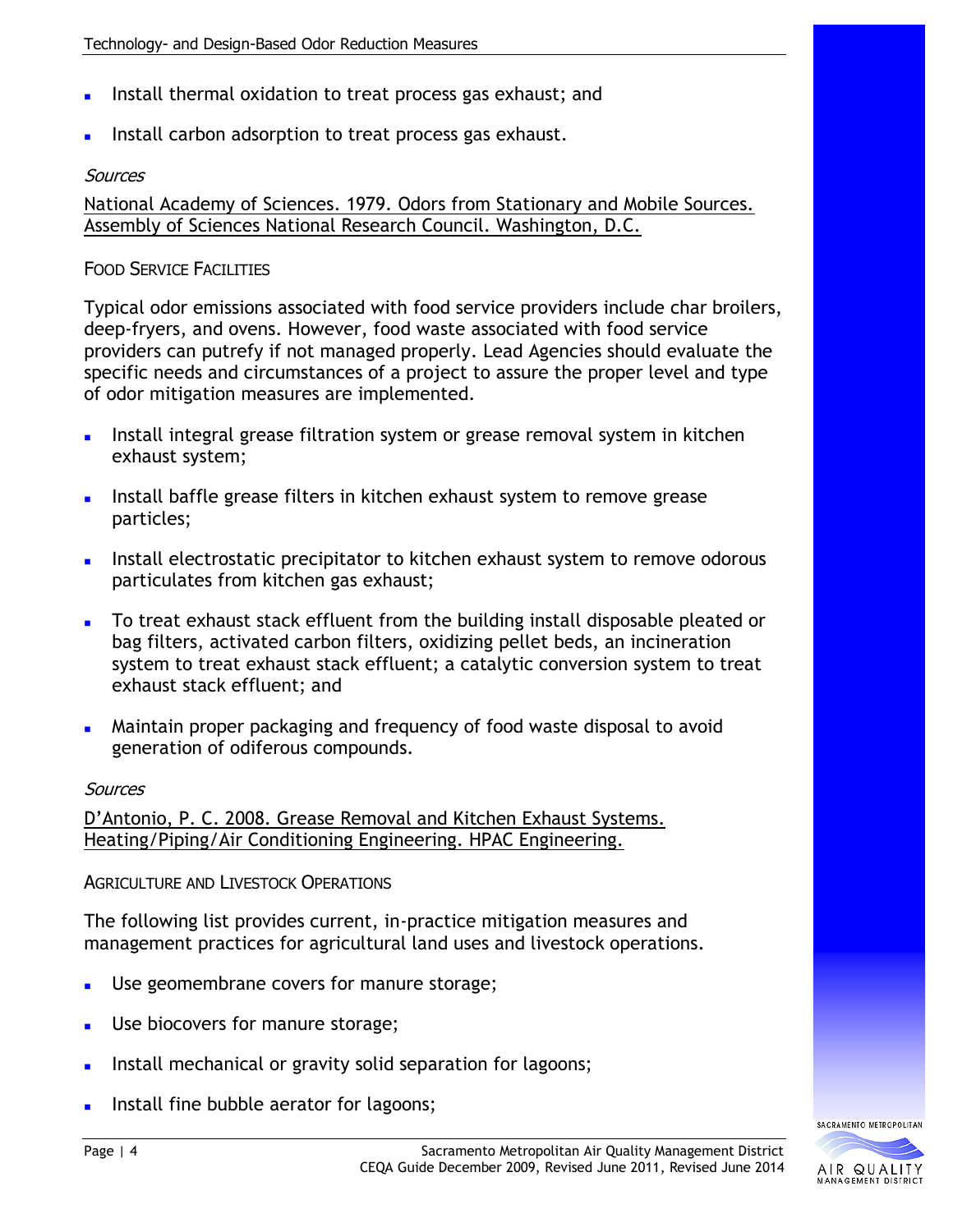- Install thermal oxidation to treat process gas exhaust; and
- Install carbon adsorption to treat process gas exhaust.

National Academy of Sciences. 1979. Odors from Stationary and Mobile Sources. Assembly of Sciences National Research Council. Washington, D.C.

### **FOOD SERVICE FACILITIES**

Typical odor emissions associated with food service providers include char broilers, deep-fryers, and ovens. However, food waste associated with food service providers can putrefy if not managed properly. Lead Agencies should evaluate the specific needs and circumstances of a project to assure the proper level and type of odor mitigation measures are implemented.

- Install integral grease filtration system or grease removal system in kitchen exhaust system;
- Install baffle grease filters in kitchen exhaust system to remove grease particles;
- Install electrostatic precipitator to kitchen exhaust system to remove odorous particulates from kitchen gas exhaust;
- To treat exhaust stack effluent from the building install disposable pleated or bag filters, activated carbon filters, oxidizing pellet beds, an incineration system to treat exhaust stack effluent; a catalytic conversion system to treat exhaust stack effluent; and
- Maintain proper packaging and frequency of food waste disposal to avoid generation of odiferous compounds.

#### **Sources**

D'Antonio, P. C. 2008. Grease Removal and Kitchen Exhaust Systems. Heating/Piping/Air Conditioning Engineering. HPAC Engineering.

AGRICULTURE AND LIVESTOCK OPERATIONS

The following list provides current, in-practice mitigation measures and management practices for agricultural land uses and livestock operations.

- Use geomembrane covers for manure storage;
- Use biocovers for manure storage;
- Install mechanical or gravity solid separation for lagoons;
- Install fine bubble aerator for lagoons;

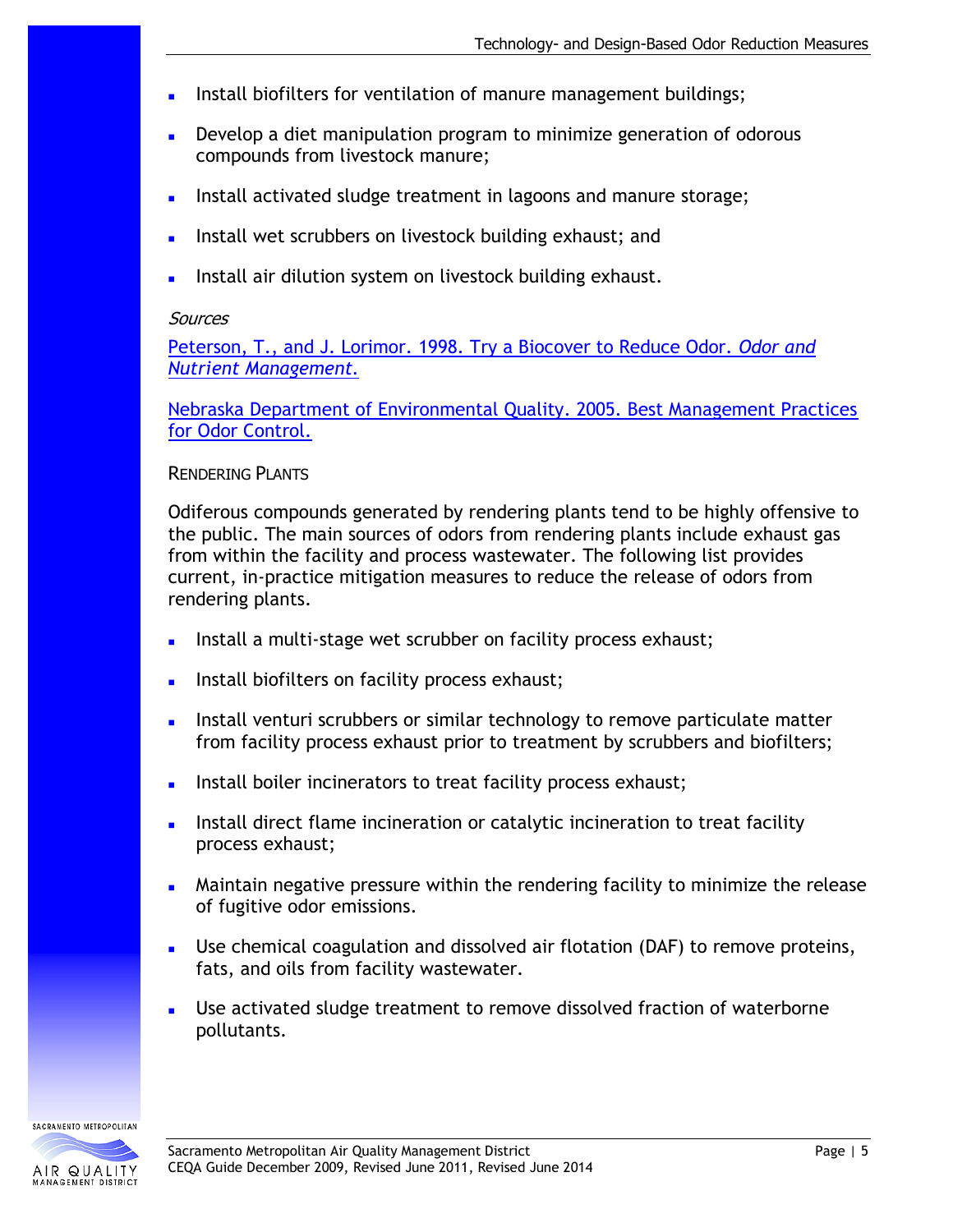- Install biofilters for ventilation of manure management buildings;
- Develop a diet manipulation program to minimize generation of odorous compounds from livestock manure;
- Install activated sludge treatment in lagoons and manure storage;
- **Install wet scrubbers on livestock building exhaust; and**
- Install air dilution system on livestock building exhaust.

[Peterson, T., and J. Lorimor. 1998. Try a Biocover to Reduce Odor.](http://www.extension.iastate.edu/Pages/communications/EPC/S98/biocover.html) *Odor and [Nutrient Management.](http://www.extension.iastate.edu/Pages/communications/EPC/S98/biocover.html)*

[Nebraska Department of Environmental Quality. 2005. Best Management Practices](http://www.deq.state.ne.us/Publica.nsf/0/eaa688e6c36a12b3862568be005c91aa?OpenDocument)  [for Odor Control.](http://www.deq.state.ne.us/Publica.nsf/0/eaa688e6c36a12b3862568be005c91aa?OpenDocument)

#### RENDERING PLANTS

Odiferous compounds generated by rendering plants tend to be highly offensive to the public. The main sources of odors from rendering plants include exhaust gas from within the facility and process wastewater. The following list provides current, in-practice mitigation measures to reduce the release of odors from rendering plants.

- Install a multi-stage wet scrubber on facility process exhaust;
- Install biofilters on facility process exhaust;
- Install venturi scrubbers or similar technology to remove particulate matter from facility process exhaust prior to treatment by scrubbers and biofilters;
- Install boiler incinerators to treat facility process exhaust;
- Install direct flame incineration or catalytic incineration to treat facility process exhaust;
- Maintain negative pressure within the rendering facility to minimize the release of fugitive odor emissions.
- Use chemical coagulation and dissolved air flotation (DAF) to remove proteins, fats, and oils from facility wastewater.
- Use activated sludge treatment to remove dissolved fraction of waterborne pollutants.